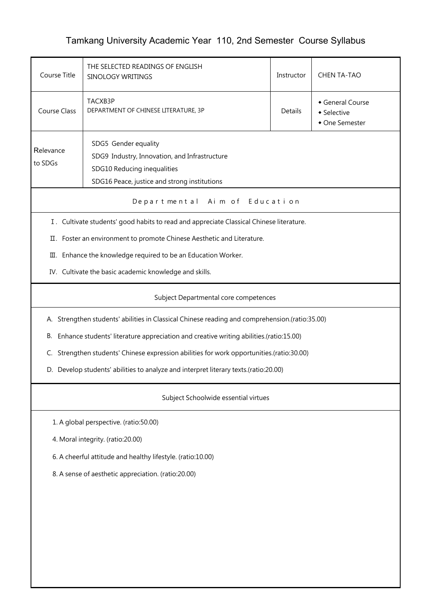## Tamkang University Academic Year 110, 2nd Semester Course Syllabus

| Course Title                                                                                   | THE SELECTED READINGS OF ENGLISH<br>SINOLOGY WRITINGS                                                                                                | Instructor | <b>CHEN TA-TAO</b>                              |  |  |  |
|------------------------------------------------------------------------------------------------|------------------------------------------------------------------------------------------------------------------------------------------------------|------------|-------------------------------------------------|--|--|--|
| Course Class                                                                                   | TACXB3P<br>DEPARTMENT OF CHINESE LITERATURE, 3P                                                                                                      | Details    | General Course<br>• Selective<br>• One Semester |  |  |  |
| Relevance<br>to SDGs                                                                           | SDG5 Gender equality<br>SDG9 Industry, Innovation, and Infrastructure<br>SDG10 Reducing inequalities<br>SDG16 Peace, justice and strong institutions |            |                                                 |  |  |  |
| Aim of Education<br>Departmental                                                               |                                                                                                                                                      |            |                                                 |  |  |  |
|                                                                                                | I. Cultivate students' good habits to read and appreciate Classical Chinese literature.                                                              |            |                                                 |  |  |  |
|                                                                                                | II. Foster an environment to promote Chinese Aesthetic and Literature.                                                                               |            |                                                 |  |  |  |
|                                                                                                | III. Enhance the knowledge required to be an Education Worker.                                                                                       |            |                                                 |  |  |  |
|                                                                                                | IV. Cultivate the basic academic knowledge and skills.                                                                                               |            |                                                 |  |  |  |
|                                                                                                | Subject Departmental core competences                                                                                                                |            |                                                 |  |  |  |
| A. Strengthen students' abilities in Classical Chinese reading and comprehension.(ratio:35.00) |                                                                                                                                                      |            |                                                 |  |  |  |
| В.                                                                                             | Enhance students' literature appreciation and creative writing abilities.(ratio:15.00)                                                               |            |                                                 |  |  |  |
| C.                                                                                             | Strengthen students' Chinese expression abilities for work opportunities.(ratio:30.00)                                                               |            |                                                 |  |  |  |
| D. Develop students' abilities to analyze and interpret literary texts.(ratio:20.00)           |                                                                                                                                                      |            |                                                 |  |  |  |
| Subject Schoolwide essential virtues                                                           |                                                                                                                                                      |            |                                                 |  |  |  |
| 1. A global perspective. (ratio:50.00)                                                         |                                                                                                                                                      |            |                                                 |  |  |  |
| 4. Moral integrity. (ratio:20.00)                                                              |                                                                                                                                                      |            |                                                 |  |  |  |
| 6. A cheerful attitude and healthy lifestyle. (ratio:10.00)                                    |                                                                                                                                                      |            |                                                 |  |  |  |
| 8. A sense of aesthetic appreciation. (ratio:20.00)                                            |                                                                                                                                                      |            |                                                 |  |  |  |
|                                                                                                |                                                                                                                                                      |            |                                                 |  |  |  |
|                                                                                                |                                                                                                                                                      |            |                                                 |  |  |  |
|                                                                                                |                                                                                                                                                      |            |                                                 |  |  |  |
|                                                                                                |                                                                                                                                                      |            |                                                 |  |  |  |
|                                                                                                |                                                                                                                                                      |            |                                                 |  |  |  |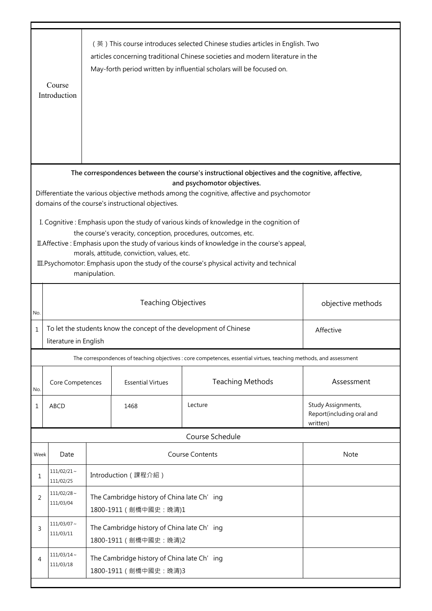|                                                               | Course<br>Introduction                                                          |                                                                                            |                                                   | (英) This course introduces selected Chinese studies articles in English. Two<br>articles concerning traditional Chinese societies and modern literature in the<br>May-forth period written by influential scholars will be focused on. |                                       |  |  |
|---------------------------------------------------------------|---------------------------------------------------------------------------------|--------------------------------------------------------------------------------------------|---------------------------------------------------|----------------------------------------------------------------------------------------------------------------------------------------------------------------------------------------------------------------------------------------|---------------------------------------|--|--|
|                                                               |                                                                                 |                                                                                            |                                                   | The correspondences between the course's instructional objectives and the cognitive, affective,                                                                                                                                        |                                       |  |  |
|                                                               |                                                                                 |                                                                                            |                                                   | and psychomotor objectives.                                                                                                                                                                                                            |                                       |  |  |
|                                                               |                                                                                 |                                                                                            |                                                   | Differentiate the various objective methods among the cognitive, affective and psychomotor                                                                                                                                             |                                       |  |  |
|                                                               |                                                                                 |                                                                                            | domains of the course's instructional objectives. |                                                                                                                                                                                                                                        |                                       |  |  |
|                                                               |                                                                                 |                                                                                            |                                                   | I. Cognitive: Emphasis upon the study of various kinds of knowledge in the cognition of                                                                                                                                                |                                       |  |  |
|                                                               |                                                                                 |                                                                                            |                                                   | the course's veracity, conception, procedures, outcomes, etc.                                                                                                                                                                          |                                       |  |  |
|                                                               |                                                                                 |                                                                                            | morals, attitude, conviction, values, etc.        | II. Affective: Emphasis upon the study of various kinds of knowledge in the course's appeal,                                                                                                                                           |                                       |  |  |
|                                                               |                                                                                 |                                                                                            |                                                   | III. Psychomotor: Emphasis upon the study of the course's physical activity and technical                                                                                                                                              |                                       |  |  |
|                                                               |                                                                                 | manipulation.                                                                              |                                                   |                                                                                                                                                                                                                                        |                                       |  |  |
|                                                               |                                                                                 |                                                                                            |                                                   |                                                                                                                                                                                                                                        |                                       |  |  |
|                                                               |                                                                                 |                                                                                            | <b>Teaching Objectives</b>                        |                                                                                                                                                                                                                                        | objective methods                     |  |  |
| No.                                                           |                                                                                 |                                                                                            |                                                   |                                                                                                                                                                                                                                        |                                       |  |  |
| $\mathbf{1}$                                                  | To let the students know the concept of the development of Chinese<br>Affective |                                                                                            |                                                   |                                                                                                                                                                                                                                        |                                       |  |  |
|                                                               | literature in English                                                           |                                                                                            |                                                   |                                                                                                                                                                                                                                        |                                       |  |  |
|                                                               |                                                                                 |                                                                                            |                                                   | The correspondences of teaching objectives : core competences, essential virtues, teaching methods, and assessment                                                                                                                     |                                       |  |  |
|                                                               |                                                                                 |                                                                                            |                                                   |                                                                                                                                                                                                                                        |                                       |  |  |
|                                                               | Core Competences                                                                |                                                                                            | <b>Essential Virtues</b>                          | <b>Teaching Methods</b>                                                                                                                                                                                                                | Assessment                            |  |  |
| No.                                                           |                                                                                 |                                                                                            |                                                   |                                                                                                                                                                                                                                        |                                       |  |  |
| 1                                                             | ABCD                                                                            |                                                                                            | 1468                                              | Lecture                                                                                                                                                                                                                                | Study Assignments,                    |  |  |
|                                                               |                                                                                 |                                                                                            |                                                   |                                                                                                                                                                                                                                        | Report(including oral and<br>written) |  |  |
|                                                               |                                                                                 |                                                                                            |                                                   | Course Schedule                                                                                                                                                                                                                        |                                       |  |  |
|                                                               |                                                                                 |                                                                                            |                                                   |                                                                                                                                                                                                                                        |                                       |  |  |
| Week                                                          | Date                                                                            |                                                                                            |                                                   | <b>Course Contents</b>                                                                                                                                                                                                                 | <b>Note</b>                           |  |  |
| 1                                                             | $111/02/21$ ~                                                                   |                                                                                            | Introduction (課程介紹)                               |                                                                                                                                                                                                                                        |                                       |  |  |
|                                                               | 111/02/25                                                                       |                                                                                            |                                                   |                                                                                                                                                                                                                                        |                                       |  |  |
| $\overline{2}$                                                |                                                                                 |                                                                                            |                                                   |                                                                                                                                                                                                                                        |                                       |  |  |
| 1800-1911 ( 劍橋中國史: 晚清)1                                       |                                                                                 |                                                                                            |                                                   |                                                                                                                                                                                                                                        |                                       |  |  |
| $111/03/07$ ~                                                 |                                                                                 |                                                                                            |                                                   |                                                                                                                                                                                                                                        |                                       |  |  |
|                                                               | 111/03/11                                                                       |                                                                                            | 1800-1911 ( 劍橋中國史: 晚清)2                           |                                                                                                                                                                                                                                        |                                       |  |  |
|                                                               | $111/03/14$ ~                                                                   |                                                                                            |                                                   |                                                                                                                                                                                                                                        |                                       |  |  |
| The Cambridge history of China late Ch' ing<br>4<br>111/03/18 |                                                                                 |                                                                                            |                                                   |                                                                                                                                                                                                                                        |                                       |  |  |
| 1800-1911 ( 劍橋中國史: 晚清)3                                       |                                                                                 |                                                                                            |                                                   |                                                                                                                                                                                                                                        |                                       |  |  |
| 3                                                             | $111/02/28$ ~<br>111/03/04                                                      | The Cambridge history of China late Ch' ing<br>The Cambridge history of China late Ch' ing |                                                   |                                                                                                                                                                                                                                        |                                       |  |  |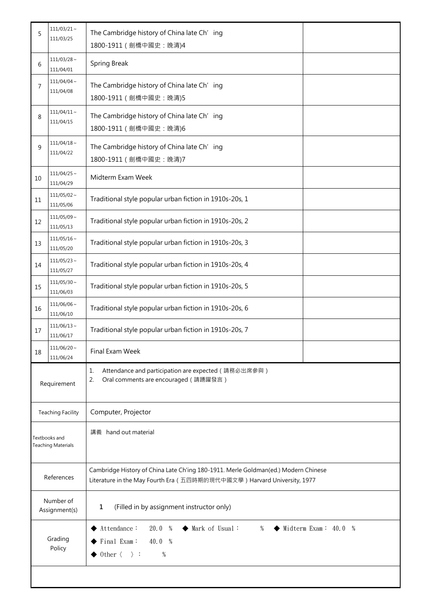| 5                                          | $111/03/21 \sim$<br>111/03/25                 | The Cambridge history of China late Ch' ing<br>1800-1911 ( 劍橋中國史: 晚清)4                                                                                                                         |  |  |
|--------------------------------------------|-----------------------------------------------|------------------------------------------------------------------------------------------------------------------------------------------------------------------------------------------------|--|--|
| 6                                          | $111/03/28$ ~<br>111/04/01                    | <b>Spring Break</b>                                                                                                                                                                            |  |  |
| 7                                          | $111/04/04 \sim$<br>111/04/08                 | The Cambridge history of China late Ch' ing<br>1800-1911 ( 劍橋中國史: 晚清)5                                                                                                                         |  |  |
| 8                                          | $111/04/11 \sim$<br>111/04/15                 | The Cambridge history of China late Ch' ing<br>1800-1911 ( 劍橋中國史: 晚清)6                                                                                                                         |  |  |
| 9                                          | $111/04/18$ ~<br>111/04/22                    | The Cambridge history of China late Ch' ing<br>1800-1911 ( 劍橋中國史: 晚清)7                                                                                                                         |  |  |
| 10                                         | $111/04/25$ ~<br>111/04/29                    | Midterm Exam Week                                                                                                                                                                              |  |  |
| 11                                         | $111/05/02$ ~<br>111/05/06                    | Traditional style popular urban fiction in 1910s-20s, 1                                                                                                                                        |  |  |
| 12                                         | $111/05/09$ ~<br>111/05/13                    | Traditional style popular urban fiction in 1910s-20s, 2                                                                                                                                        |  |  |
| 13                                         | $111/05/16$ ~<br>111/05/20                    | Traditional style popular urban fiction in 1910s-20s, 3                                                                                                                                        |  |  |
| 14                                         | $111/05/23$ ~<br>111/05/27                    | Traditional style popular urban fiction in 1910s-20s, 4                                                                                                                                        |  |  |
| 15                                         | $111/05/30$ ~<br>111/06/03                    | Traditional style popular urban fiction in 1910s-20s, 5                                                                                                                                        |  |  |
| 16                                         | $111/06/06$ ~<br>111/06/10                    | Traditional style popular urban fiction in 1910s-20s, 6                                                                                                                                        |  |  |
| 17                                         | $111/06/13$ ~<br>111/06/17                    | Traditional style popular urban fiction in 1910s-20s, 7                                                                                                                                        |  |  |
| 18                                         | $111/06/20$ ~<br>Final Exam Week<br>111/06/24 |                                                                                                                                                                                                |  |  |
| Requirement                                |                                               | Attendance and participation are expected (請務必出席參與)<br>1.<br>Oral comments are encouraged (請踴躍發言)<br>2.                                                                                        |  |  |
|                                            | <b>Teaching Facility</b>                      | Computer, Projector                                                                                                                                                                            |  |  |
| Textbooks and<br><b>Teaching Materials</b> |                                               | 講義 hand out material                                                                                                                                                                           |  |  |
| References                                 |                                               | Cambridge History of China Late Ch'ing 180-1911. Merle Goldman(ed.) Modern Chinese<br>Literature in the May Fourth Era (五四時期的現代中國文學) Harvard University, 1977                                  |  |  |
| Number of<br>Assignment(s)                 |                                               | (Filled in by assignment instructor only)<br>1                                                                                                                                                 |  |  |
| Grading<br>Policy                          |                                               | $\blacklozenge$ Midterm Exam: 40.0 %<br>Attendance:<br>20.0 %<br>◆ Mark of Usual:<br>%<br>$\blacktriangleright$ Final Exam:<br>40.0 %<br>$\rightarrow$ 0ther $\langle \quad \rangle$ :<br>$\%$ |  |  |
|                                            |                                               |                                                                                                                                                                                                |  |  |